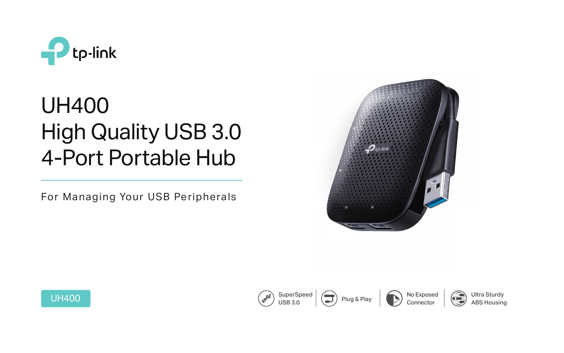

 $\left( \begin{array}{c} \end{array} \right)$  Plug & Play











Ultra Sturdy ABS Housing



# UH400 High Quality USB 3.0 4-Port Portable Hub



For Managing Your USB Peripherals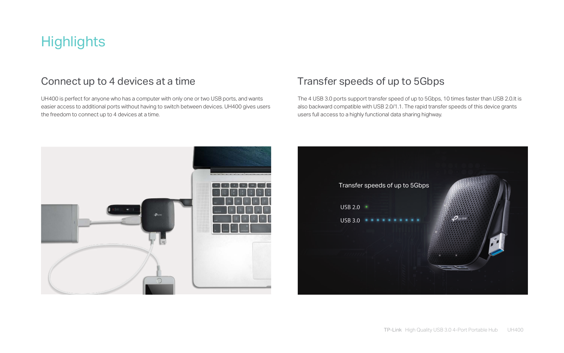

## **Highlights**

#### Connect up to 4 devices at a time

UH400 is perfect for anyone who has a computer with only one or two USB ports, and wants easier access to additional ports without having to switch between devices. UH400 gives users the freedom to connect up to 4 devices at a time.

### Transfer speeds of up to 5Gbps

The 4 USB 3.0 ports support transfer speed of up to 5Gbps, 10 times faster than USB 2.0.It is also backward compatible with USB 2.0/1.1. The rapid transfer speeds of this device grants users full access to a highly functional data sharing highway.

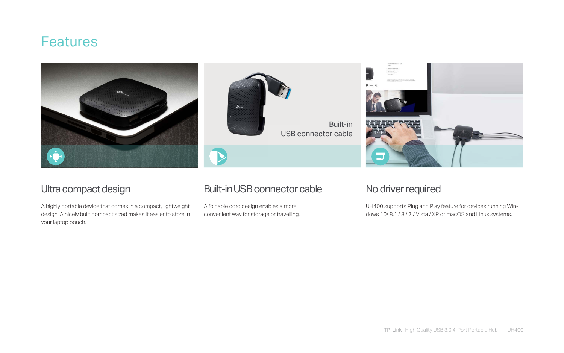#### Ultra compact design

A highly portable device that comes in a compact, lightweight design. A nicely built compact sized makes it easier to store in your laptop pouch.

#### Built-in USB connector cable

A foldable cord design enables a more convenient way for storage or travelling.



#### No driver required

UH400 supports Plug and Play feature for devices running Windows 10/ 8.1 / 8 / 7 / Vista / XP or macOS and Linux systems.

### **Features**